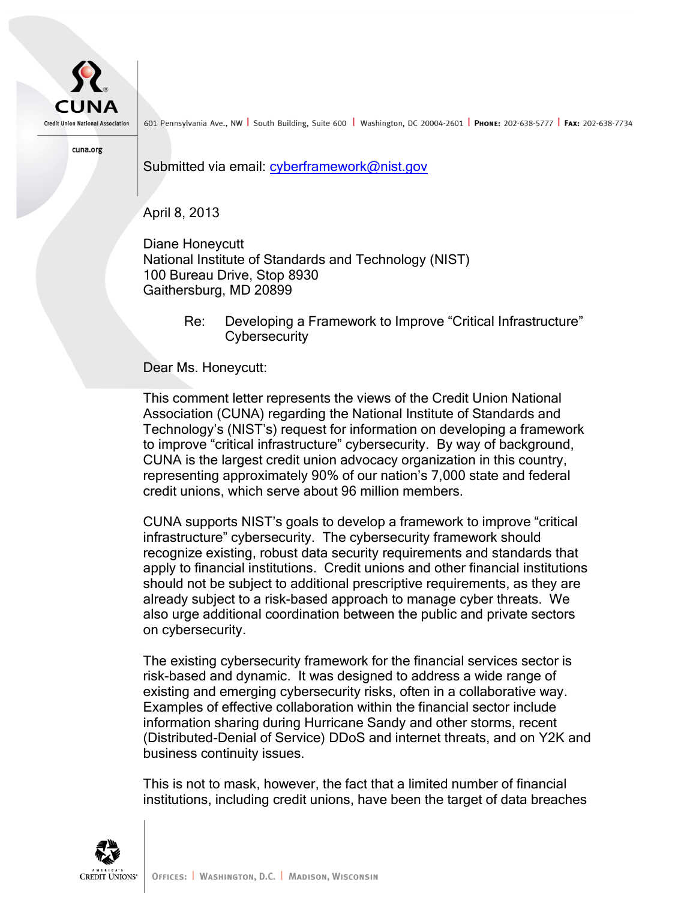

601 Pennsylvania Ave., NW South Building, Suite 600 Washington, DC 20004-2601 PHONE: 202-638-5777 FAX: 202-638-7734

cuna.org

Submitted via email: [cyberframework@nist.gov](mailto:cyberframework@nist.gov)

April 8, 2013

Diane Honeycutt National Institute of Standards and Technology (NIST) 100 Bureau Drive, Stop 8930 Gaithersburg, MD 20899

> Re: Developing a Framework to Improve "Critical Infrastructure" **Cybersecurity**

Dear Ms. Honeycutt:

This comment letter represents the views of the Credit Union National Association (CUNA) regarding the National Institute of Standards and Technology's (NIST's) request for information on developing a framework to improve "critical infrastructure" cybersecurity. By way of background, CUNA is the largest credit union advocacy organization in this country, representing approximately 90% of our nation's 7,000 state and federal credit unions, which serve about 96 million members.

CUNA supports NIST's goals to develop a framework to improve "critical infrastructure" cybersecurity. The cybersecurity framework should recognize existing, robust data security requirements and standards that apply to financial institutions. Credit unions and other financial institutions should not be subject to additional prescriptive requirements, as they are already subject to a risk-based approach to manage cyber threats. We also urge additional coordination between the public and private sectors on cybersecurity.

The existing cybersecurity framework for the financial services sector is risk-based and dynamic. It was designed to address a wide range of existing and emerging cybersecurity risks, often in a collaborative way. Examples of effective collaboration within the financial sector include information sharing during Hurricane Sandy and other storms, recent (Distributed-Denial of Service) DDoS and internet threats, and on Y2K and business continuity issues.

This is not to mask, however, the fact that a limited number of financial institutions, including credit unions, have been the target of data breaches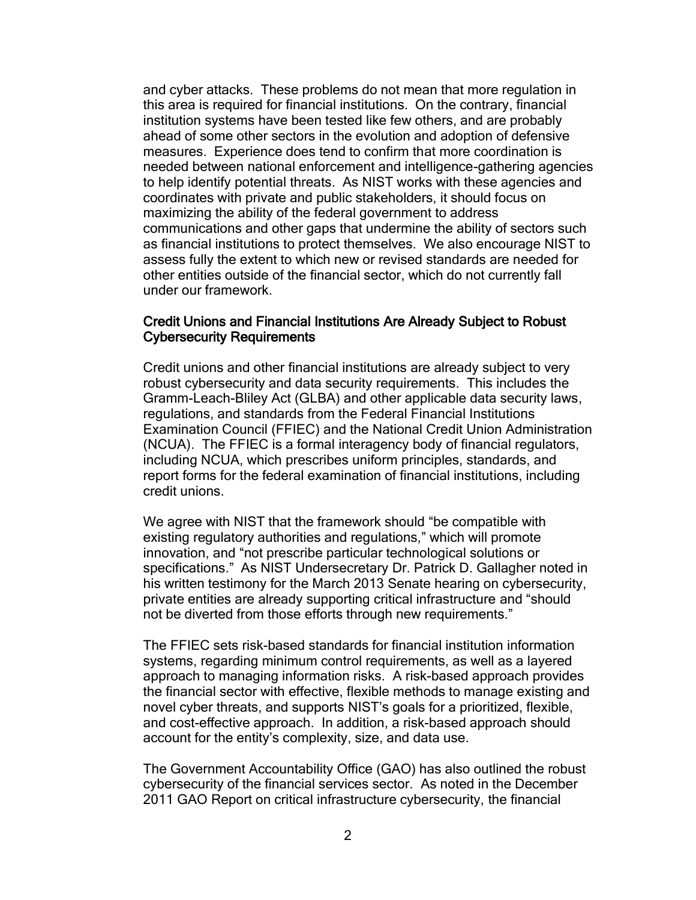and cyber attacks. These problems do not mean that more regulation in this area is required for financial institutions. On the contrary, financial institution systems have been tested like few others, and are probably ahead of some other sectors in the evolution and adoption of defensive measures. Experience does tend to confirm that more coordination is needed between national enforcement and intelligence-gathering agencies to help identify potential threats. As NIST works with these agencies and coordinates with private and public stakeholders, it should focus on maximizing the ability of the federal government to address communications and other gaps that undermine the ability of sectors such as financial institutions to protect themselves. We also encourage NIST to assess fully the extent to which new or revised standards are needed for other entities outside of the financial sector, which do not currently fall under our framework.

#### Credit Unions and Financial Institutions Are Already Subject to Robust Cybersecurity Requirements

Credit unions and other financial institutions are already subject to very robust cybersecurity and data security requirements. This includes the Gramm-Leach-Bliley Act (GLBA) and other applicable data security laws, regulations, and standards from the Federal Financial Institutions Examination Council (FFIEC) and the National Credit Union Administration (NCUA). The FFIEC is a formal interagency body of financial regulators, including NCUA, which prescribes uniform principles, standards, and report forms for the federal examination of financial institutions, including credit unions.

We agree with NIST that the framework should "be compatible with existing regulatory authorities and regulations," which will promote innovation, and "not prescribe particular technological solutions or specifications." As NIST Undersecretary Dr. Patrick D. Gallagher noted in his written testimony for the March 2013 Senate hearing on cybersecurity, private entities are already supporting critical infrastructure and "should not be diverted from those efforts through new requirements."

The FFIEC sets risk-based standards for financial institution information systems, regarding minimum control requirements, as well as a layered approach to managing information risks. A risk-based approach provides the financial sector with effective, flexible methods to manage existing and novel cyber threats, and supports NIST's goals for a prioritized, flexible, and cost-effective approach. In addition, a risk-based approach should account for the entity's complexity, size, and data use.

The Government Accountability Office (GAO) has also outlined the robust cybersecurity of the financial services sector. As noted in the December 2011 GAO Report on critical infrastructure cybersecurity, the financial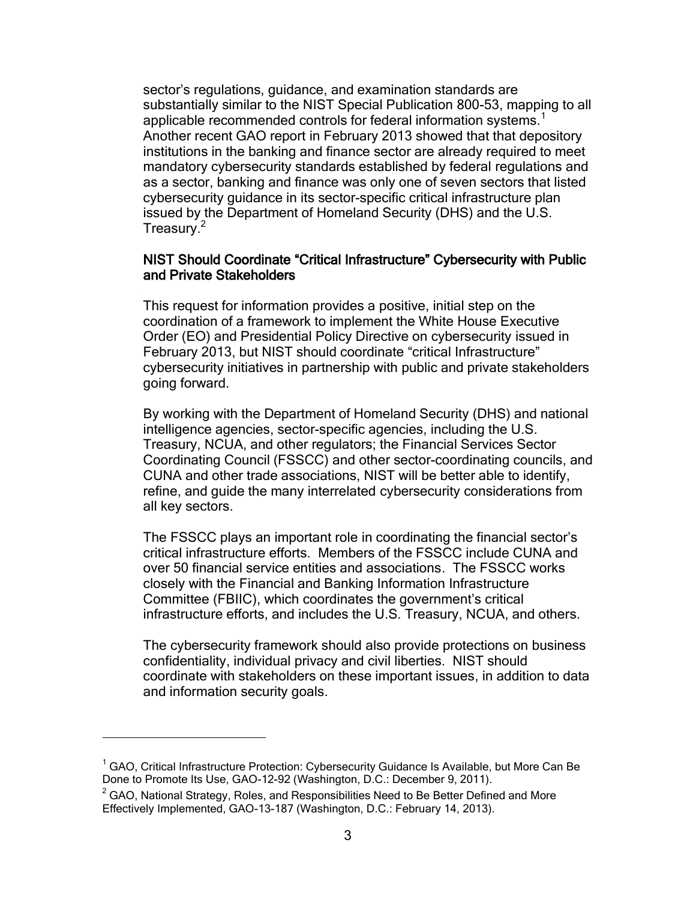sector's regulations, guidance, and examination standards are substantially similar to the NIST Special Publication 800-53, mapping to all applicable recommended controls for federal information systems.<sup>1</sup> Another recent GAO report in February 2013 showed that that depository institutions in the banking and finance sector are already required to meet mandatory cybersecurity standards established by federal regulations and as a sector, banking and finance was only one of seven sectors that listed cybersecurity guidance in its sector-specific critical infrastructure plan issued by the Department of Homeland Security (DHS) and the U.S. Treasury.<sup>2</sup>

#### NIST Should Coordinate "Critical Infrastructure" Cybersecurity with Public and Private Stakeholders

This request for information provides a positive, initial step on the coordination of a framework to implement the White House Executive Order (EO) and Presidential Policy Directive on cybersecurity issued in February 2013, but NIST should coordinate "critical Infrastructure" cybersecurity initiatives in partnership with public and private stakeholders going forward.

By working with the Department of Homeland Security (DHS) and national intelligence agencies, sector-specific agencies, including the U.S. Treasury, NCUA, and other regulators; the Financial Services Sector Coordinating Council (FSSCC) and other sector-coordinating councils, and CUNA and other trade associations, NIST will be better able to identify, refine, and guide the many interrelated cybersecurity considerations from all key sectors.

The FSSCC plays an important role in coordinating the financial sector's critical infrastructure efforts. Members of the FSSCC include CUNA and over 50 financial service entities and associations. The FSSCC works closely with the Financial and Banking Information Infrastructure Committee (FBIIC), which coordinates the government's critical infrastructure efforts, and includes the U.S. Treasury, NCUA, and others.

The cybersecurity framework should also provide protections on business confidentiality, individual privacy and civil liberties. NIST should coordinate with stakeholders on these important issues, in addition to data and information security goals.

 $\overline{a}$ 

 $1$  GAO, Critical Infrastructure Protection: Cybersecurity Guidance Is Available, but More Can Be Done to Promote Its Use, GAO-12-92 (Washington, D.C.: December 9, 2011).

 $2$  GAO, National Strategy, Roles, and Responsibilities Need to Be Better Defined and More Effectively Implemented, GAO-13-187 (Washington, D.C.: February 14, 2013).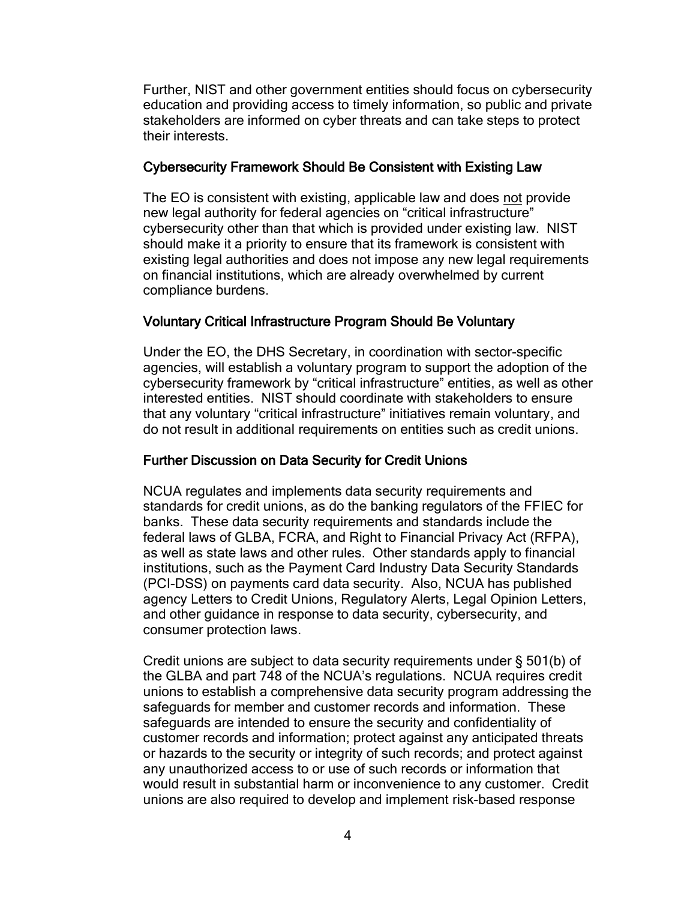Further, NIST and other government entities should focus on cybersecurity education and providing access to timely information, so public and private stakeholders are informed on cyber threats and can take steps to protect their interests.

### Cybersecurity Framework Should Be Consistent with Existing Law

The EO is consistent with existing, applicable law and does not provide new legal authority for federal agencies on "critical infrastructure" cybersecurity other than that which is provided under existing law. NIST should make it a priority to ensure that its framework is consistent with existing legal authorities and does not impose any new legal requirements on financial institutions, which are already overwhelmed by current compliance burdens.

## Voluntary Critical Infrastructure Program Should Be Voluntary

Under the EO, the DHS Secretary, in coordination with sector-specific agencies, will establish a voluntary program to support the adoption of the cybersecurity framework by "critical infrastructure" entities, as well as other interested entities. NIST should coordinate with stakeholders to ensure that any voluntary "critical infrastructure" initiatives remain voluntary, and do not result in additional requirements on entities such as credit unions.

# Further Discussion on Data Security for Credit Unions

NCUA regulates and implements data security requirements and standards for credit unions, as do the banking regulators of the FFIEC for banks. These data security requirements and standards include the federal laws of GLBA, FCRA, and Right to Financial Privacy Act (RFPA), as well as state laws and other rules. Other standards apply to financial institutions, such as the Payment Card Industry Data Security Standards (PCI-DSS) on payments card data security. Also, NCUA has published agency Letters to Credit Unions, Regulatory Alerts, Legal Opinion Letters, and other guidance in response to data security, cybersecurity, and consumer protection laws.

Credit unions are subject to data security requirements under § 501(b) of the GLBA and part 748 of the NCUA's regulations. NCUA requires credit unions to establish a comprehensive data security program addressing the safeguards for member and customer records and information. These safeguards are intended to ensure the security and confidentiality of customer records and information; protect against any anticipated threats or hazards to the security or integrity of such records; and protect against any unauthorized access to or use of such records or information that would result in substantial harm or inconvenience to any customer. Credit unions are also required to develop and implement risk-based response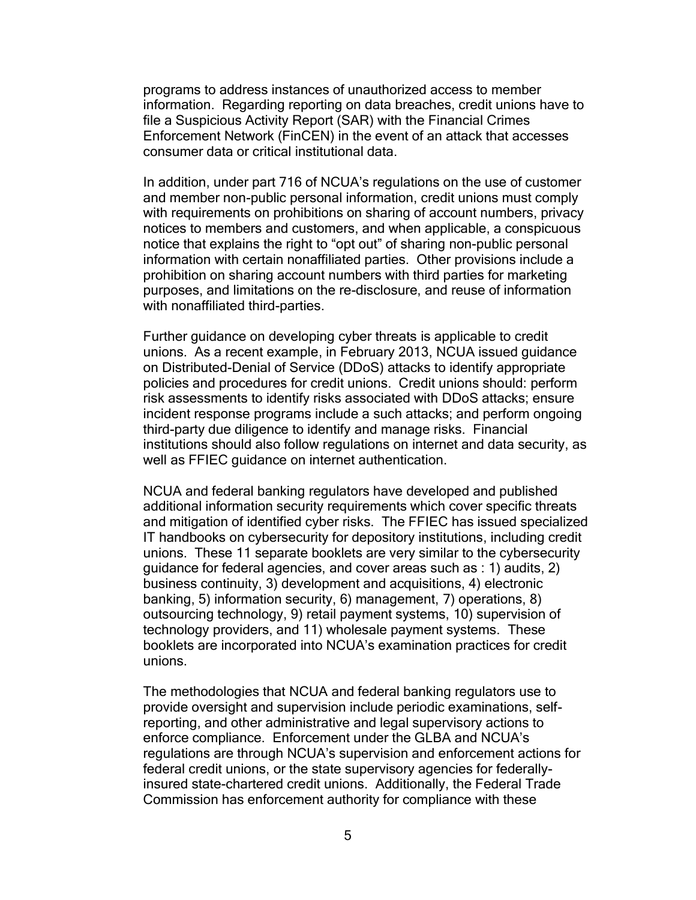programs to address instances of unauthorized access to member information. Regarding reporting on data breaches, credit unions have to file a Suspicious Activity Report (SAR) with the Financial Crimes Enforcement Network (FinCEN) in the event of an attack that accesses consumer data or critical institutional data.

In addition, under part 716 of NCUA's regulations on the use of customer and member non-public personal information, credit unions must comply with requirements on prohibitions on sharing of account numbers, privacy notices to members and customers, and when applicable, a conspicuous notice that explains the right to "opt out" of sharing non-public personal information with certain nonaffiliated parties. Other provisions include a prohibition on sharing account numbers with third parties for marketing purposes, and limitations on the re-disclosure, and reuse of information with nonaffiliated third-parties.

Further guidance on developing cyber threats is applicable to credit unions. As a recent example, in February 2013, NCUA issued guidance on Distributed-Denial of Service (DDoS) attacks to identify appropriate policies and procedures for credit unions. Credit unions should: perform risk assessments to identify risks associated with DDoS attacks; ensure incident response programs include a such attacks; and perform ongoing third-party due diligence to identify and manage risks. Financial institutions should also follow regulations on internet and data security, as well as FFIEC guidance on internet authentication.

NCUA and federal banking regulators have developed and published additional information security requirements which cover specific threats and mitigation of identified cyber risks. The FFIEC has issued specialized IT handbooks on cybersecurity for depository institutions, including credit unions. These 11 separate booklets are very similar to the cybersecurity guidance for federal agencies, and cover areas such as : 1) audits, 2) business continuity, 3) development and acquisitions, 4) electronic banking, 5) information security, 6) management, 7) operations, 8) outsourcing technology, 9) retail payment systems, 10) supervision of technology providers, and 11) wholesale payment systems. These booklets are incorporated into NCUA's examination practices for credit unions.

The methodologies that NCUA and federal banking regulators use to provide oversight and supervision include periodic examinations, selfreporting, and other administrative and legal supervisory actions to enforce compliance. Enforcement under the GLBA and NCUA's regulations are through NCUA's supervision and enforcement actions for federal credit unions, or the state supervisory agencies for federallyinsured state-chartered credit unions. Additionally, the Federal Trade Commission has enforcement authority for compliance with these